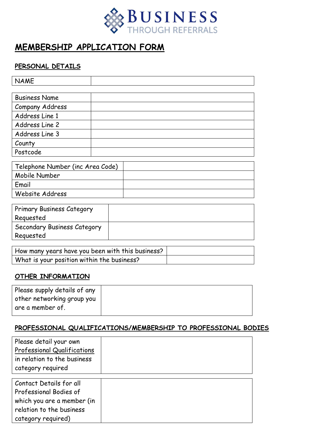

# **MEMBERSHIP APPLICATION FORM**

### **PERSONAL DETAILS**

| <b>NAME</b>                      |  |  |  |
|----------------------------------|--|--|--|
|                                  |  |  |  |
| <b>Business Name</b>             |  |  |  |
| Company Address                  |  |  |  |
| Address Line 1                   |  |  |  |
| Address Line 2                   |  |  |  |
| Address Line 3                   |  |  |  |
| County                           |  |  |  |
| Postcode                         |  |  |  |
|                                  |  |  |  |
| Telephone Number (inc Area Code) |  |  |  |
| Mobile Number                    |  |  |  |
| Email                            |  |  |  |

| <b>Primary Business Category</b> |  |
|----------------------------------|--|
| Reguested                        |  |
| Secondary Business Category      |  |
| Requested                        |  |
|                                  |  |

| How many years have you been with this business? |  |
|--------------------------------------------------|--|
| What is your position within the business?       |  |

## **OTHER INFORMATION**

Website Address

| Please supply details of any |  |
|------------------------------|--|
| other networking group you   |  |
| are a member of.             |  |

#### **PROFESSIONAL QUALIFICATIONS/MEMBERSHIP TO PROFESSIONAL BODIES**

| Please detail your own<br><b>Professional Qualifications</b><br>in relation to the business<br>category required                  |  |
|-----------------------------------------------------------------------------------------------------------------------------------|--|
| Contact Details for all<br>Professional Bodies of<br>which you are a member (in<br>relation to the business<br>category required) |  |